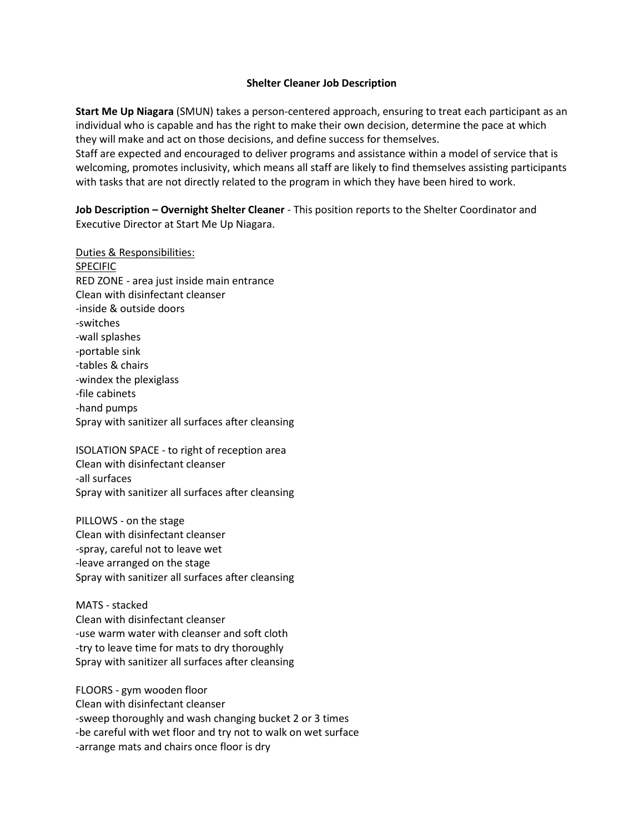## **Shelter Cleaner Job Description**

**Start Me Up Niagara** (SMUN) takes a person-centered approach, ensuring to treat each participant as an individual who is capable and has the right to make their own decision, determine the pace at which they will make and act on those decisions, and define success for themselves.

Staff are expected and encouraged to deliver programs and assistance within a model of service that is welcoming, promotes inclusivity, which means all staff are likely to find themselves assisting participants with tasks that are not directly related to the program in which they have been hired to work.

**Job Description – Overnight Shelter Cleaner** - This position reports to the Shelter Coordinator and Executive Director at Start Me Up Niagara.

Duties & Responsibilities: **SPECIFIC** RED ZONE - area just inside main entrance Clean with disinfectant cleanser -inside & outside doors -switches -wall splashes -portable sink -tables & chairs -windex the plexiglass -file cabinets -hand pumps Spray with sanitizer all surfaces after cleansing

ISOLATION SPACE - to right of reception area Clean with disinfectant cleanser -all surfaces Spray with sanitizer all surfaces after cleansing

PILLOWS - on the stage Clean with disinfectant cleanser -spray, careful not to leave wet -leave arranged on the stage Spray with sanitizer all surfaces after cleansing

MATS - stacked Clean with disinfectant cleanser -use warm water with cleanser and soft cloth -try to leave time for mats to dry thoroughly Spray with sanitizer all surfaces after cleansing

FLOORS - gym wooden floor Clean with disinfectant cleanser -sweep thoroughly and wash changing bucket 2 or 3 times -be careful with wet floor and try not to walk on wet surface -arrange mats and chairs once floor is dry